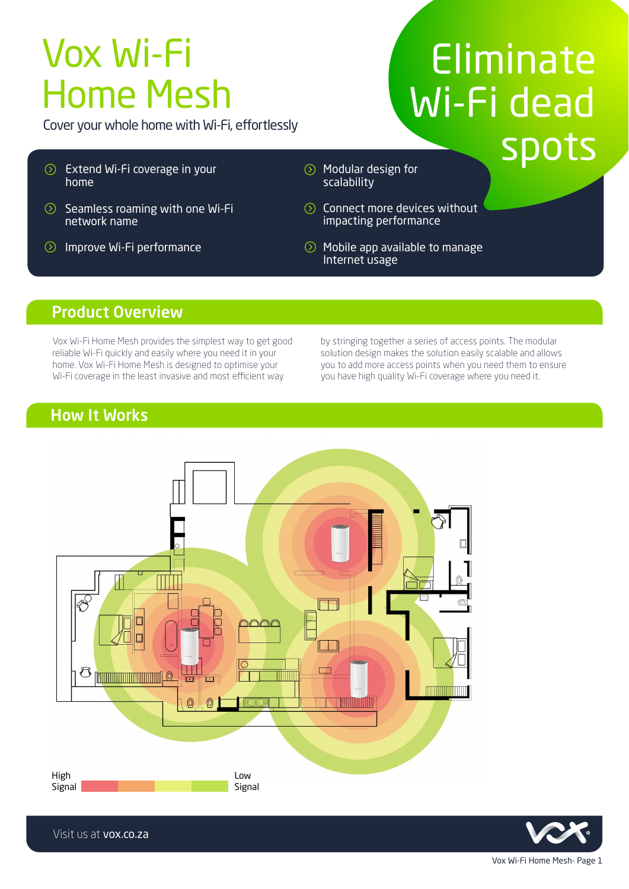# Vox Wi-Fi Home Mesh

Cover your whole home with Wi-Fi, effortlessly

- Extend Wi-Fi coverage in your home
- $\odot$  Seamless roaming with one Wi-Fi network name
- $\circledcirc$ Improve Wi-Fi performance
- Eliminate Wi-Fi dead spots
- $\circledcirc$  Modular design for scalability
- **◯** Connect more devices without impacting performance
- $\circledcirc$ Mobile app available to manage Internet usage

## Product Overview

Vox Wi-Fi Home Mesh provides the simplest way to get good reliable Wi-Fi quickly and easily where you need it in your home. Vox Wi-Fi Home Mesh is designed to optimise your Wi-Fi coverage in the least invasive and most efficient way

by stringing together a series of access points. The modular solution design makes the solution easily scalable and allows you to add more access points when you need them to ensure you have high quality Wi-Fi coverage where you need it.

# How It Works





Visit us at vox.co.za